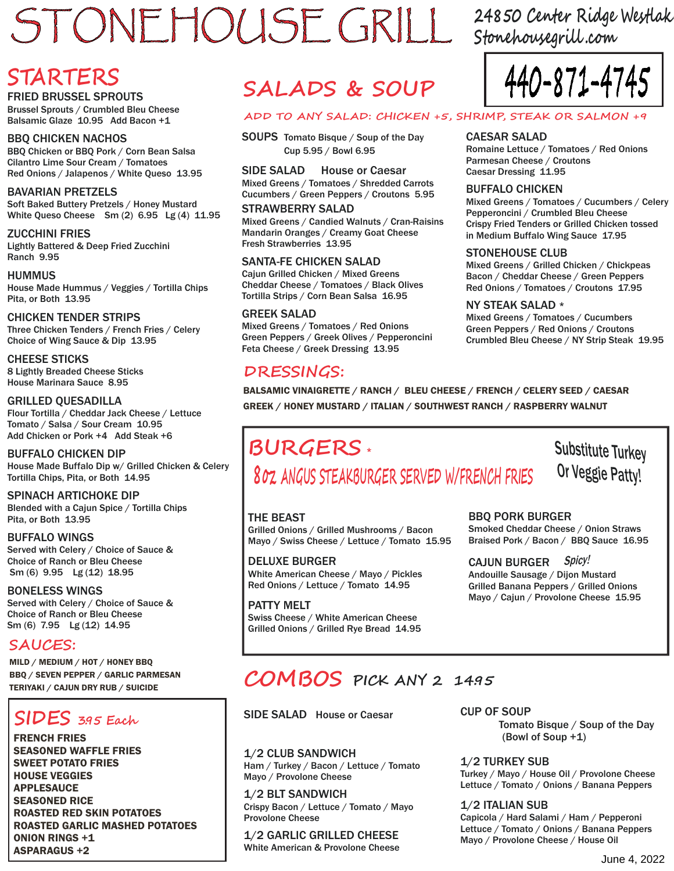# STONEHOUSE GRILL 24850 Center Ridge Westlak

**Stonehousegrill .com**

# **STARTERS**

FRIED BRUSSEL SPROUTS

Brussel Sprouts / Crumbled Bleu Cheese Balsamic Glaze 10.95 Add Bacon +1

BBQ CHICKEN NACHOS BBQ Chicken or BBQ Pork / Corn Bean Salsa Cilantro Lime Sour Cream / Tomatoes Red Onions / Jalapenos / White Queso 13.95

#### BAVARIAN PRETZELS

Soft Baked Buttery Pretzels / Honey Mustard White Queso Cheese Sm (2) 6.95 Lg (4) 11.95

ZUCCHINI FRIES Lightly Battered & Deep Fried Zucchini Ranch 9.95

HUMMUS House Made Hummus / Veggies / Tortilla Chips Pita, or Both 13.95

CHICKEN TENDER STRIPS Three Chicken Tenders / French Fries / Celery Choice of Wing Sauce & Dip 13.95

CHEESE STICKS 8 Lightly Breaded Cheese Sticks House Marinara Sauce 8.95

GRILLED QUESADILLA Flour Tortilla / Cheddar Jack Cheese / Lettuce Tomato / Salsa / Sour Cream 10.95 Add Chicken or Pork +4 Add Steak +6

BUFFALO CHICKEN DIP House Made Buffalo Dip w/ Grilled Chicken & Celery Tortilla Chips, Pita, or Both 14.95

SPINACH ARTICHOKE DIP Blended with a Cajun Spice / Tortilla Chips Pita, or Both 13.95

BUFFALO WINGS Served with Celery / Choice of Sauce & Choice of Ranch or Bleu Cheese Sm (6) 9.95 Lg (12) 18.95

BONELESS WINGS Served with Celery / Choice of Sauce & Choice of Ranch or Bleu Cheese Sm (6) 7.95 Lg (12) 14.95

**SAUCES:**

MILD / MEDIUM / HOT / HONEY BBQ BBQ / SEVEN PEPPER / GARLIC PARMESAN

#### j **SIDES 39. 5 Each**

FRENCH FRIES SEASONED WAFFLE FRIES SWEET POTATO FRIES HOUSE VEGGIES APPLESAUCE SEASONED RICE ROASTED RED SKIN POTATOES ROASTED GARLIC MASHED POTATOES ONION RINGS +1 ASPARAGUS +2

# SALADS & SOUP

#### **ADD TO ANY SALAD: CHICKEN +5, SHRIMP, STEAK OR SALMON +9**

SOUPS Tomato Bisque / Soup of the Day Cup 5.95 / Bowl 6.95

SIDE SALAD House or Caesar Mixed Greens / Tomatoes / Shredded Carrots Cucumbers / Green Peppers / Croutons 5.95

STRAWBERRY SALAD Mixed Greens / Candied Walnuts / Cran-Raisins Mandarin Oranges / Creamy Goat Cheese Fresh Strawberries 13.95

#### SANTA-FE CHICKEN SALAD

Cajun Grilled Chicken / Mixed Greens Cheddar Cheese / Tomatoes / Black Olives Tortilla Strips / Corn Bean Salsa 16.95

#### GREEK SALAD

Mixed Greens / Tomatoes / Red Onions Green Peppers / Greek Olives / Pepperoncini Feta Cheese / Greek Dressing 13.95

### **DRESSINGS:**



#### CAESAR SALAD

Romaine Lettuce / Tomatoes / Red Onions Parmesan Cheese / Croutons Caesar Dressing 11.95

#### BUFFALO CHICKEN

Mixed Greens / Tomatoes / Cucumbers / Celery Pepperoncini / Crumbled Bleu Cheese Crispy Fried Tenders or Grilled Chicken tossed in Medium Buffalo Wing Sauce 17.95

#### STONEHOUSE CLUB

Mixed Greens / Grilled Chicken / Chickpeas Bacon / Cheddar Cheese / Green Peppers Red Onions / Tomatoes / Croutons 17.95

#### NY STEAK SALAD \*

Mixed Greens / Tomatoes / Cucumbers Green Peppers / Red Onions / Croutons Crumbled Bleu Cheese / NY Strip Steak 19.95

BALSAMIC VINAIGRETTE / RANCH / BLEU CHEESE / FRENCH / CELERY SEED / CAESAR GREEK / HONEY MUSTARD / ITALIAN / SOUTHWEST RANCH / RASPBERRY WALNUT

## **BURGERS** \*

# **8oz ANGUS STEAKBURGER SERVED W/FRENCH FRIES**

Substitute Turkey Or Veggie Patty!

#### THE BEAST

Grilled Onions / Grilled Mushrooms / Bacon Mayo / Swiss Cheese / Lettuce / Tomato 15.95

DELUXE BURGER White American Cheese / Mayo / Pickles Red Onions / Lettuce / Tomato 14.95

PATTY MELT Swiss Cheese / White American Cheese Grilled Onions / Grilled Rye Bread 14.95

#### BBQ PORK BURGER

Smoked Cheddar Cheese / Onion Straws Braised Pork / Bacon / BBQ Sauce 16.95

#### CAJUN BURGER Spicy!

Andouille Sausage / Dijon Mustard Grilled Banana Peppers / Grilled Onions Mayo / Cajun / Provolone Cheese 15.95

# **COMBOS** TERIYAKI / CAJUN DRY RUB / SUICIDE **PICK ANY 2 149. 5**

SIDE SALAD House or Caesar

1/2 CLUB SANDWICH Ham / Turkey / Bacon / Lettuce / Tomato Mayo / Provolone Cheese

1/2 BLT SANDWICH Crispy Bacon / Lettuce / Tomato / Mayo Provolone Cheese

1/2 GARLIC GRILLED CHEESE White American & Provolone Cheese CUP OF SOUP Tomato Bisque / Soup of the Day (Bowl of Soup +1)

1/2 TURKEY SUB Turkey / Mayo / House Oil / Provolone Cheese Lettuce / Tomato / Onions / Banana Peppers

1/2 ITALIAN SUB Capicola / Hard Salami / Ham / Pepperoni Lettuce / Tomato / Onions / Banana Peppers Mayo / Provolone Cheese / House Oil